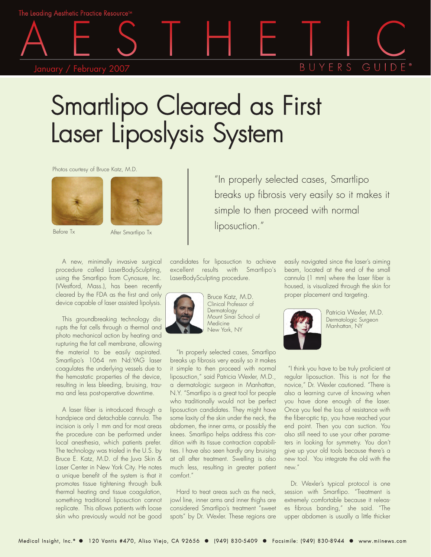The Leading Aesthetic Practice Resource™

## January / February 2007

## BUYFRS  $GII$

## Smartlipo Cleared as First Laser Liposlysis System

Photos courtesy of Bruce Katz, M.D.





After Smartlipo Tx

A new, minimally invasive surgical procedure called LaserBodySculpting, using the Smartlipo from Cynosure, Inc. (Westford, Mass.), has been recently cleared by the FDA as the first and only device capable of laser assisted lipolysis.

This groundbreaking technology disrupts the fat cells through a thermal and photo mechanical action by heating and rupturing the fat cell membrane, allowing the material to be easily aspirated. Smartlipo's 1064 nm Nd:YAG laser coagulates the underlying vessels due to the hemostatic properties of the device, resulting in less bleeding, bruising, trauma and less post-operative downtime.

A laser fiber is introduced through a handpiece and detachable cannula. The incision is only 1 mm and for most areas the procedure can be performed under local anesthesia, which patients prefer. The technology was trialed in the U.S. by Bruce E. Katz, M.D. of the Juva Skin & Laser Center in New York City. He notes a unique benefit of the system is that it promotes tissue tightening through bulk thermal heating and tissue coagulation, something traditional liposuction cannot replicate. This allows patients with loose skin who previously would not be good

candidates for liposuction to achieve excellent results with Smartlipo's LaserBodySculpting procedure.



Bruce Katz, M.D. Clinical Professor of **Dermatology** Mount Sinai School of Medicine New York, NY

"In properly selected cases, Smartlipo breaks up fibrosis very easily so it makes it simple to then proceed with normal liposuction," said Patricia Wexler, M.D., a dermatologic surgeon in Manhattan, N.Y. "Smartlipo is a great tool for people who traditionally would not be perfect liposuction candidates. They might have some laxity of the skin under the neck, the abdomen, the inner arms, or possibly the knees. Smartlipo helps address this condition with its tissue contraction capabilities. I have also seen hardly any bruising at all after treatment. Swelling is also much less, resulting in greater patient comfort."

Hard to treat areas such as the neck, jowl line, inner arms and inner thighs are considered Smartlipo's treatment "sweet spots" by Dr. Wexler. These regions are

"In properly selected cases, Smartlipo breaks up fibrosis very easily so it makes it simple to then proceed with normal liposuction."

> easily navigated since the laser's aiming beam, located at the end of the small cannula (1 mm) where the laser fiber is housed, is visualized through the skin for proper placement and targeting.



Patricia Wexler, M.D. Dermatologic Surgeon Manhattan, NY

"I think you have to be truly proficient at regular liposuction. This is not for the novice," Dr. Wexler cautioned. "There is also a learning curve of knowing when you have done enough of the laser. Once you feel the loss of resistance with the fiber-optic tip, you have reached your end point. Then you can suction. You also still need to use your other parameters in looking for symmetry. You don't give up your old tools because there's a new tool. You integrate the old with the new."

Dr. Wexler's typical protocol is one session with Smartlipo. "Treatment is extremely comfortable because it releases fibrous banding," she said. "The upper abdomen is usually a little thicker